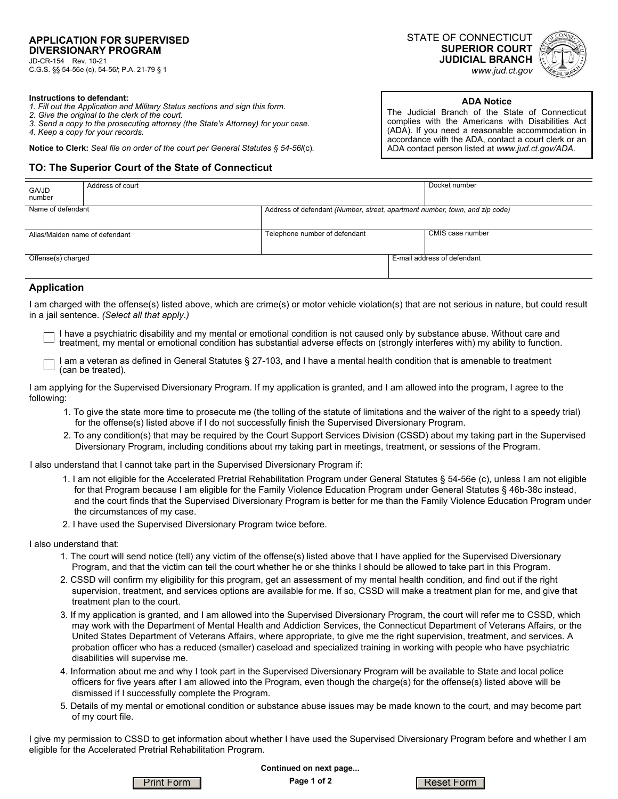C.G.S. §§ 54-56e (c), 54-56*l*; P.A. 21-79 § 1

STATE OF CONNECTICUT **SUPERIOR COURT JUDICIAL BRANCH**  *www.jud.ct.gov*



#### **Instructions to defendant:**

- *1. Fill out the Application and Military Status sections and sign this form.*
- *2. Give the original to the clerk of the court.*
- *3. Send a copy to the prosecuting attorney (the State's Attorney) for your case.*
- *4. Keep a copy for your records.*

**Notice to Clerk:** *Seal file on order of the court per General Statutes § 54-56l*(c)*.*

#### **TO: The Superior Court of the State of Connecticut**

**ADA Notice** 

The Judicial Branch of the State of Connecticut complies with the Americans with Disabilities Act (ADA). If you need a reasonable accommodation in accordance with the ADA, contact a court clerk or an ADA contact person listed at *www.jud.ct.gov/ADA.*

| GA/JD<br>number                | Address of court |                                                                             | Docket number               |
|--------------------------------|------------------|-----------------------------------------------------------------------------|-----------------------------|
| Name of defendant              |                  | Address of defendant (Number, street, apartment number, town, and zip code) |                             |
|                                |                  |                                                                             |                             |
| Alias/Maiden name of defendant |                  | Telephone number of defendant                                               | CMIS case number            |
|                                |                  |                                                                             |                             |
| Offense(s) charged             |                  |                                                                             | E-mail address of defendant |
|                                |                  |                                                                             |                             |

### **Application**

I am charged with the offense(s) listed above, which are crime(s) or motor vehicle violation(s) that are not serious in nature, but could result in a jail sentence. *(Select all that apply.)*

I have a psychiatric disability and my mental or emotional condition is not caused only by substance abuse. Without care and treatment, my mental or emotional condition has substantial adverse effects on (strongly interferes with) my ability to function.

I am a veteran as defined in General Statutes § 27-103, and I have a mental health condition that is amenable to treatment (can be treated).

I am applying for the Supervised Diversionary Program. If my application is granted, and I am allowed into the program, I agree to the following:

- 1. To give the state more time to prosecute me (the tolling of the statute of limitations and the waiver of the right to a speedy trial) for the offense(s) listed above if I do not successfully finish the Supervised Diversionary Program.
- 2. To any condition(s) that may be required by the Court Support Services Division (CSSD) about my taking part in the Supervised Diversionary Program, including conditions about my taking part in meetings, treatment, or sessions of the Program.

I also understand that I cannot take part in the Supervised Diversionary Program if:

- 1. I am not eligible for the Accelerated Pretrial Rehabilitation Program under General Statutes § 54-56e (c), unless I am not eligible for that Program because I am eligible for the Family Violence Education Program under General Statutes § 46b-38c instead, and the court finds that the Supervised Diversionary Program is better for me than the Family Violence Education Program under the circumstances of my case.
- 2. I have used the Supervised Diversionary Program twice before.

I also understand that:

- 1. The court will send notice (tell) any victim of the offense(s) listed above that I have applied for the Supervised Diversionary Program, and that the victim can tell the court whether he or she thinks I should be allowed to take part in this Program.
- 2. CSSD will confirm my eligibility for this program, get an assessment of my mental health condition, and find out if the right supervision, treatment, and services options are available for me. If so, CSSD will make a treatment plan for me, and give that treatment plan to the court.
- 3. If my application is granted, and I am allowed into the Supervised Diversionary Program, the court will refer me to CSSD, which may work with the Department of Mental Health and Addiction Services, the Connecticut Department of Veterans Affairs, or the United States Department of Veterans Affairs, where appropriate, to give me the right supervision, treatment, and services. A probation officer who has a reduced (smaller) caseload and specialized training in working with people who have psychiatric disabilities will supervise me.
- 4. Information about me and why I took part in the Supervised Diversionary Program will be available to State and local police officers for five years after I am allowed into the Program, even though the charge(s) for the offense(s) listed above will be dismissed if I successfully complete the Program.
- 5. Details of my mental or emotional condition or substance abuse issues may be made known to the court, and may become part of my court file.

I give my permission to CSSD to get information about whether I have used the Supervised Diversionary Program before and whether I am eligible for the Accelerated Pretrial Rehabilitation Program.



**Page 1 of 2 Continued on next page...**